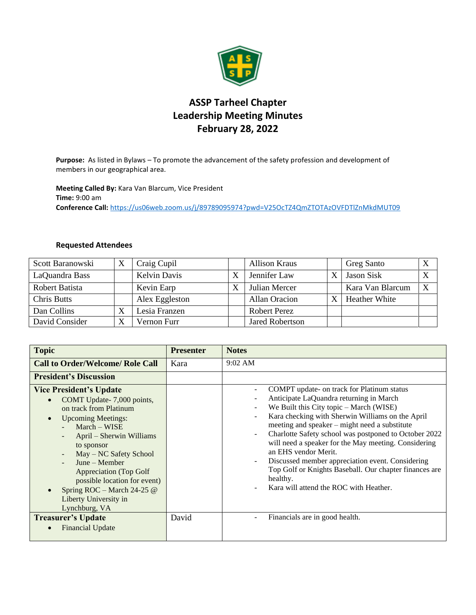

## **ASSP Tarheel Chapter Leadership Meeting Minutes February 28, 2022**

**Purpose:** As listed in Bylaws – To promote the advancement of the safety profession and development of members in our geographical area.

**Meeting Called By:** Kara Van Blarcum, Vice President **Time:** 9:00 am **Conference Call:** <https://us06web.zoom.us/j/89789095974?pwd=V25OcTZ4QmZTOTAzOVFDTlZnMkdMUT09>

## **Requested Attendees**

| Scott Baranowski   |                         | Craig Cupil         | <b>Allison Kraus</b>   | <b>Greg Santo</b>    | X |
|--------------------|-------------------------|---------------------|------------------------|----------------------|---|
| LaQuandra Bass     |                         | <b>Kelvin Davis</b> | Jennifer Law           | Jason Sisk           | X |
| Robert Batista     |                         | Kevin Earp          | Julian Mercer          | Kara Van Blarcum     | X |
| <b>Chris Butts</b> |                         | Alex Eggleston      | Allan Oracion          | <b>Heather White</b> |   |
| Dan Collins        | ٦Z                      | Lesia Franzen       | Robert Perez           |                      |   |
| David Consider     | $\overline{\mathbf{v}}$ | Vernon Furr         | <b>Jared Robertson</b> |                      |   |

| <b>Topic</b>                                                                                                                                                                                                                                                                                                                                                                               | <b>Presenter</b> | <b>Notes</b>                                                                                                                                                                                                                                                                                                                                                                                                                                                                                                                                                                                 |
|--------------------------------------------------------------------------------------------------------------------------------------------------------------------------------------------------------------------------------------------------------------------------------------------------------------------------------------------------------------------------------------------|------------------|----------------------------------------------------------------------------------------------------------------------------------------------------------------------------------------------------------------------------------------------------------------------------------------------------------------------------------------------------------------------------------------------------------------------------------------------------------------------------------------------------------------------------------------------------------------------------------------------|
| <b>Call to Order/Welcome/ Role Call</b>                                                                                                                                                                                                                                                                                                                                                    | Kara             | $9:02 \text{ AM}$                                                                                                                                                                                                                                                                                                                                                                                                                                                                                                                                                                            |
| <b>President's Discussion</b>                                                                                                                                                                                                                                                                                                                                                              |                  |                                                                                                                                                                                                                                                                                                                                                                                                                                                                                                                                                                                              |
| <b>Vice President's Update</b><br>COMT Update-7,000 points,<br>$\bullet$<br>on track from Platinum<br><b>Upcoming Meetings:</b><br>$\bullet$<br>$March - WISE$<br>April - Sherwin Williams<br>to sponsor<br>May - NC Safety School<br>$June - Member$<br>Appreciation (Top Golf)<br>possible location for event)<br>Spring ROC - March 24-25 $@$<br>Liberty University in<br>Lynchburg, VA |                  | COMPT update- on track for Platinum status<br>$\overline{a}$<br>Anticipate LaQuandra returning in March<br>We Built this City topic - March (WISE)<br>Kara checking with Sherwin Williams on the April<br>meeting and speaker – might need a substitute<br>Charlotte Safety school was postponed to October 2022<br>÷,<br>will need a speaker for the May meeting. Considering<br>an EHS vendor Merit.<br>Discussed member appreciation event. Considering<br>$\overline{a}$<br>Top Golf or Knights Baseball. Our chapter finances are<br>healthy.<br>Kara will attend the ROC with Heather. |
| <b>Treasurer's Update</b><br><b>Financial Update</b>                                                                                                                                                                                                                                                                                                                                       | David            | Financials are in good health.                                                                                                                                                                                                                                                                                                                                                                                                                                                                                                                                                               |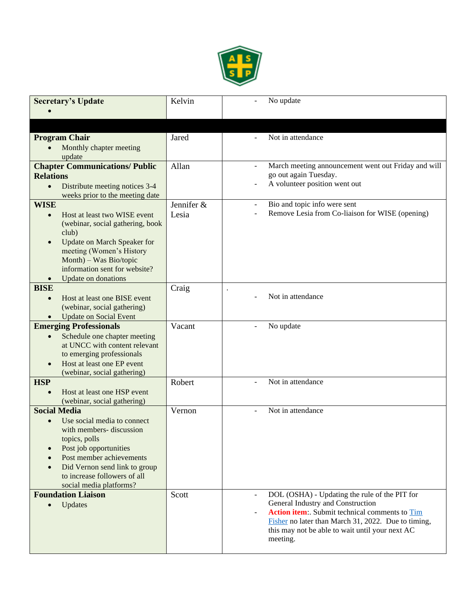

| <b>Secretary's Update</b>                                                  | Kelvin     | No update                                                                                              |
|----------------------------------------------------------------------------|------------|--------------------------------------------------------------------------------------------------------|
|                                                                            |            |                                                                                                        |
|                                                                            |            |                                                                                                        |
| <b>Program Chair</b>                                                       | Jared      | Not in attendance                                                                                      |
| Monthly chapter meeting                                                    |            |                                                                                                        |
| update                                                                     |            |                                                                                                        |
| <b>Chapter Communications/ Public</b><br><b>Relations</b>                  | Allan      | March meeting announcement went out Friday and will<br>$\blacksquare$<br>go out again Tuesday.         |
| Distribute meeting notices 3-4<br>$\bullet$                                |            | A volunteer position went out                                                                          |
| weeks prior to the meeting date                                            |            |                                                                                                        |
| <b>WISE</b>                                                                | Jennifer & | Bio and topic info were sent<br>$\overline{\phantom{a}}$                                               |
| Host at least two WISE event<br>$\bullet$                                  | Lesia      | Remove Lesia from Co-liaison for WISE (opening)                                                        |
| (webinar, social gathering, book                                           |            |                                                                                                        |
| club)<br><b>Update on March Speaker for</b><br>$\bullet$                   |            |                                                                                                        |
| meeting (Women's History                                                   |            |                                                                                                        |
| Month) – Was Bio/topic                                                     |            |                                                                                                        |
| information sent for website?                                              |            |                                                                                                        |
| Update on donations<br><b>BISE</b>                                         | Craig      |                                                                                                        |
| Host at least one BISE event<br>$\bullet$                                  |            | Not in attendance                                                                                      |
| (webinar, social gathering)                                                |            |                                                                                                        |
| <b>Update on Social Event</b><br>$\bullet$                                 |            |                                                                                                        |
| <b>Emerging Professionals</b>                                              | Vacant     | No update<br>÷,                                                                                        |
| Schedule one chapter meeting<br>$\bullet$<br>at UNCC with content relevant |            |                                                                                                        |
| to emerging professionals                                                  |            |                                                                                                        |
| Host at least one EP event<br>$\bullet$                                    |            |                                                                                                        |
| (webinar, social gathering)                                                |            |                                                                                                        |
| <b>HSP</b><br>Host at least one HSP event<br>$\bullet$                     | Robert     | Not in attendance                                                                                      |
| (webinar, social gathering)                                                |            |                                                                                                        |
| <b>Social Media</b>                                                        | Vernon     | Not in attendance<br>$\blacksquare$                                                                    |
| Use social media to connect<br>$\bullet$                                   |            |                                                                                                        |
| with members- discussion                                                   |            |                                                                                                        |
| topics, polls<br>Post job opportunities                                    |            |                                                                                                        |
| Post member achievements                                                   |            |                                                                                                        |
| Did Vernon send link to group<br>$\bullet$                                 |            |                                                                                                        |
| to increase followers of all                                               |            |                                                                                                        |
| social media platforms?<br><b>Foundation Liaison</b>                       | Scott      | DOL (OSHA) - Updating the rule of the PIT for<br>$\overline{\phantom{a}}$                              |
| Updates<br>$\bullet$                                                       |            | General Industry and Construction                                                                      |
|                                                                            |            | Action item: Submit technical comments to Tim                                                          |
|                                                                            |            | Fisher no later than March 31, 2022. Due to timing,<br>this may not be able to wait until your next AC |
|                                                                            |            | meeting.                                                                                               |
|                                                                            |            |                                                                                                        |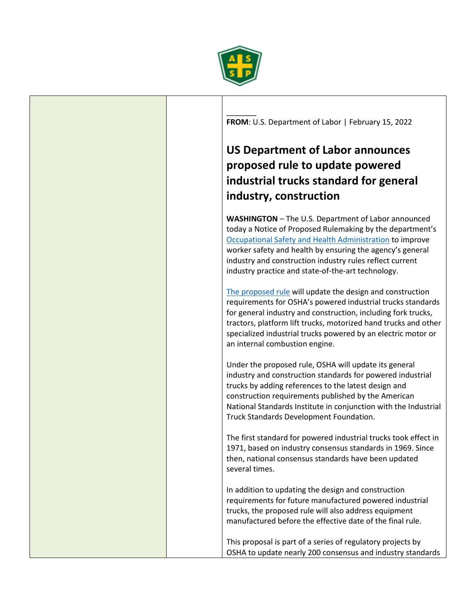

 $\overline{\phantom{a}}$ **FROM**: U.S. Department of Labor | February 15, 2022

## **US Department of Labor announces proposed rule to update powered industrial trucks standard for general industry, construction**

**WASHINGTON** – The U.S. Department of Labor announced today a Notice of Proposed Rulemaking by the department's [Occupational Safety and Health Administration](https://gcc02.safelinks.protection.outlook.com/?url=http%3A%2F%2Fwww.osha.gov%2F&data=04%7C01%7CGamble.Bennett%40dol.gov%7C6e5fda08c58a400efa7208d9f093f543%7C75a6305472044e0c9126adab971d4aca%7C0%7C0%7C637805340577231182%7CUnknown%7CTWFpbGZsb3d8eyJWIjoiMC4wLjAwMDAiLCJQIjoiV2luMzIiLCJBTiI6Ik1haWwiLCJXVCI6Mn0%3D%7C3000&sdata=m2Eumw6NU3z8OvQLt5SKMvB3UkqOGDBNrpeWXfy8ifI%3D&reserved=0) to improve worker safety and health by ensuring the agency's general industry and construction industry rules reflect current industry practice and state-of-the-art technology.

[The proposed rule](https://gcc02.safelinks.protection.outlook.com/?url=https%3A%2F%2Fwww.federalregister.gov%2Fpublic-inspection%2F2022-01155%2Fpowered-industrial-trucks-design-standard-update&data=04%7C01%7CGamble.Bennett%40dol.gov%7C6e5fda08c58a400efa7208d9f093f543%7C75a6305472044e0c9126adab971d4aca%7C0%7C0%7C637805340577231182%7CUnknown%7CTWFpbGZsb3d8eyJWIjoiMC4wLjAwMDAiLCJQIjoiV2luMzIiLCJBTiI6Ik1haWwiLCJXVCI6Mn0%3D%7C3000&sdata=NLODiN5ErvLXOtHLAX4im8AWLVBh%2FSIW5TMJo1AqKng%3D&reserved=0) will update the design and construction requirements for OSHA's powered industrial trucks standards for general industry and construction, including fork trucks, tractors, platform lift trucks, motorized hand trucks and other specialized industrial trucks powered by an electric motor or an internal combustion engine.

Under the proposed rule, OSHA will update its general industry and construction standards for powered industrial trucks by adding references to the latest design and construction requirements published by the American National Standards Institute in conjunction with the Industrial Truck Standards Development Foundation.

The first standard for powered industrial trucks took effect in 1971, based on industry consensus standards in 1969. Since then, national consensus standards have been updated several times.

In addition to updating the design and construction requirements for future manufactured powered industrial trucks, the proposed rule will also address equipment manufactured before the effective date of the final rule.

This proposal is part of a series of regulatory projects by OSHA to update nearly 200 consensus and industry standards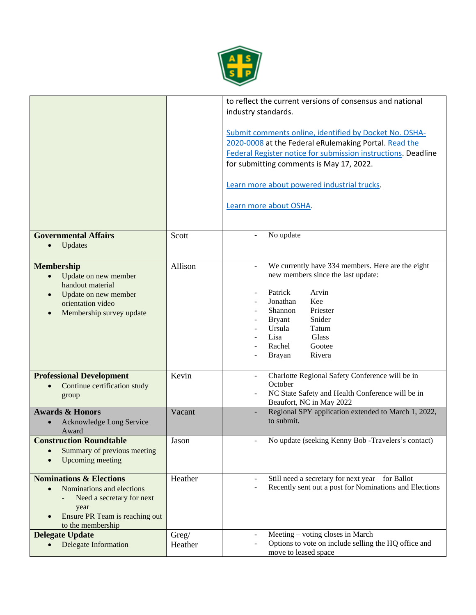

|                                                                                                                                                                                       |                  | to reflect the current versions of consensus and national<br>industry standards.<br>Submit comments online, identified by Docket No. OSHA-<br>2020-0008 at the Federal eRulemaking Portal. Read the<br>Federal Register notice for submission instructions. Deadline<br>for submitting comments is May 17, 2022.<br>Learn more about powered industrial trucks.<br>Learn more about OSHA. |
|---------------------------------------------------------------------------------------------------------------------------------------------------------------------------------------|------------------|-------------------------------------------------------------------------------------------------------------------------------------------------------------------------------------------------------------------------------------------------------------------------------------------------------------------------------------------------------------------------------------------|
| <b>Governmental Affairs</b><br>Updates<br>$\bullet$                                                                                                                                   | Scott            | No update                                                                                                                                                                                                                                                                                                                                                                                 |
| <b>Membership</b><br>Update on new member<br>$\bullet$<br>handout material<br>Update on new member<br>$\bullet$<br>orientation video<br>Membership survey update<br>$\bullet$         | Allison          | We currently have 334 members. Here are the eight<br>$\blacksquare$<br>new members since the last update:<br>Patrick<br>Arvin<br>Jonathan<br>Kee<br>Shannon<br>Priester<br>Snider<br><b>Bryant</b><br>Ursula<br>Tatum<br>Lisa<br>Glass<br>Rachel<br>Gootee<br>Rivera<br><b>Brayan</b>                                                                                                     |
| <b>Professional Development</b><br>Continue certification study<br>$\bullet$<br>group                                                                                                 | Kevin            | Charlotte Regional Safety Conference will be in<br>$\blacksquare$<br>October<br>NC State Safety and Health Conference will be in<br>Beaufort, NC in May 2022                                                                                                                                                                                                                              |
| <b>Awards &amp; Honors</b><br>Acknowledge Long Service<br>Award                                                                                                                       | Vacant           | Regional SPY application extended to March 1, 2022,<br>to submit.                                                                                                                                                                                                                                                                                                                         |
| <b>Construction Roundtable</b><br>Summary of previous meeting<br><b>Upcoming meeting</b>                                                                                              | Jason            | No update (seeking Kenny Bob -Travelers's contact)                                                                                                                                                                                                                                                                                                                                        |
| <b>Nominations &amp; Elections</b><br>Nominations and elections<br>$\bullet$<br>Need a secretary for next<br>year<br>Ensure PR Team is reaching out<br>$\bullet$<br>to the membership | Heather          | Still need a secretary for next year - for Ballot<br>Recently sent out a post for Nominations and Elections                                                                                                                                                                                                                                                                               |
| <b>Delegate Update</b><br>Delegate Information<br>$\bullet$                                                                                                                           | Greg/<br>Heather | Meeting - voting closes in March<br>Options to vote on include selling the HQ office and<br>move to leased space                                                                                                                                                                                                                                                                          |